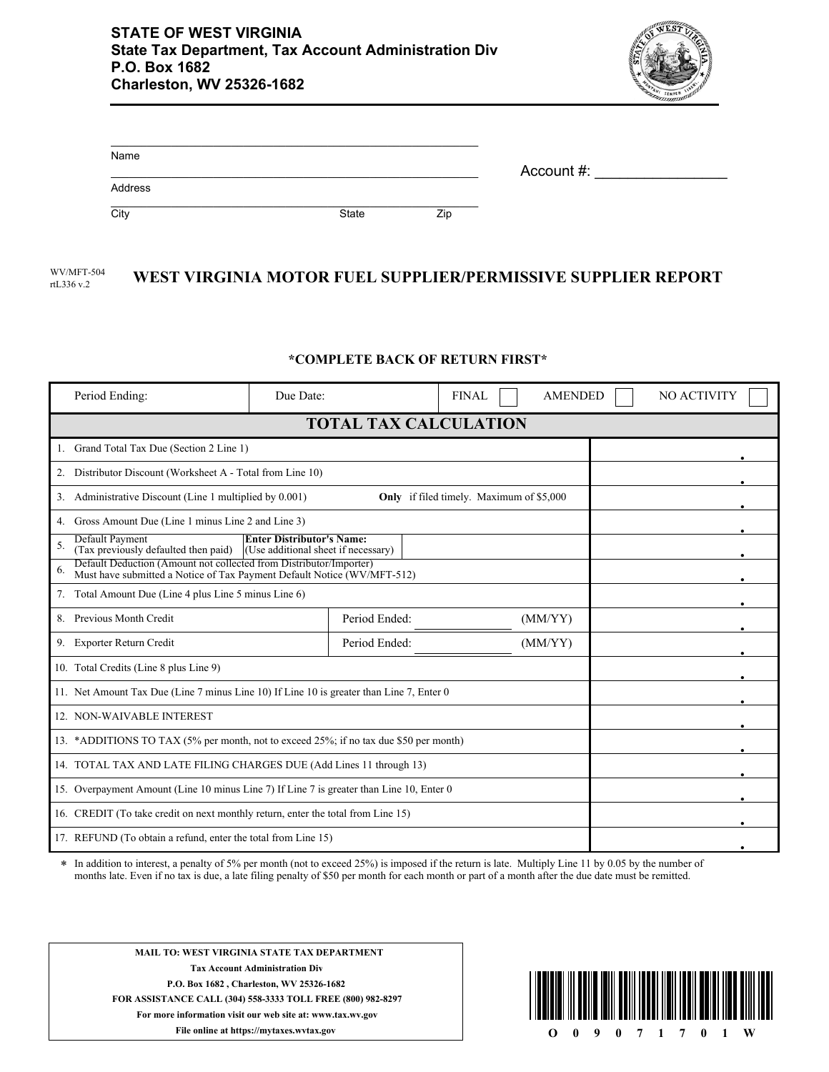

| Name    |       |     |            |  |
|---------|-------|-----|------------|--|
|         |       |     | Account #: |  |
| Address |       |     |            |  |
| City    | State | Zip |            |  |

## WV/MFT-504 WEST VIRGINIA MOTOR FUEL SUPPLIER/PERMISSIVE SUPPLIER REPORT rtL336 v.2

## **\*COMPLETE BACK OF RETURN FIRST\***

| Period Ending:                                                                                                                                      | Due Date: |               | <b>FINAL</b> | <b>AMENDED</b> |  | NO ACTIVITY |
|-----------------------------------------------------------------------------------------------------------------------------------------------------|-----------|---------------|--------------|----------------|--|-------------|
| <b>TOTAL TAX CALCULATION</b>                                                                                                                        |           |               |              |                |  |             |
| Grand Total Tax Due (Section 2 Line 1)                                                                                                              |           |               |              |                |  |             |
| Distributor Discount (Worksheet A - Total from Line 10)<br>2.                                                                                       |           |               |              |                |  |             |
| Administrative Discount (Line 1 multiplied by 0.001)<br><b>Only</b> if filed timely. Maximum of \$5,000<br>3.                                       |           |               |              |                |  |             |
| Gross Amount Due (Line 1 minus Line 2 and Line 3)                                                                                                   |           |               |              |                |  |             |
| Default Payment<br><b>Enter Distributor's Name:</b><br>5.<br>(Tax previously defaulted then paid)<br>(Use additional sheet if necessary)            |           |               |              |                |  |             |
| Default Deduction (Amount not collected from Distributor/Importer)<br>6.<br>Must have submitted a Notice of Tax Payment Default Notice (WV/MFT-512) |           |               |              |                |  |             |
| Total Amount Due (Line 4 plus Line 5 minus Line 6)<br>7.                                                                                            |           |               |              |                |  |             |
| Previous Month Credit<br>8.                                                                                                                         |           | Period Ended: |              | (MM/YY)        |  |             |
| Exporter Return Credit<br>9.                                                                                                                        |           | Period Ended: |              | (MM/YY)        |  |             |
| 10. Total Credits (Line 8 plus Line 9)                                                                                                              |           |               |              |                |  |             |
| 11. Net Amount Tax Due (Line 7 minus Line 10) If Line 10 is greater than Line 7, Enter 0                                                            |           |               |              |                |  |             |
| 12. NON-WAIVABLE INTEREST                                                                                                                           |           |               |              |                |  |             |
| 13. *ADDITIONS TO TAX (5% per month, not to exceed 25%; if no tax due \$50 per month)                                                               |           |               |              |                |  |             |
| 14. TOTAL TAX AND LATE FILING CHARGES DUE (Add Lines 11 through 13)                                                                                 |           |               |              |                |  |             |
| 15. Overpayment Amount (Line 10 minus Line 7) If Line 7 is greater than Line 10, Enter 0                                                            |           |               |              |                |  |             |
| 16. CREDIT (To take credit on next monthly return, enter the total from Line 15)                                                                    |           |               |              |                |  |             |
| 17. REFUND (To obtain a refund, enter the total from Line 15)                                                                                       |           |               |              |                |  |             |

In addition to interest, a penalty of 5% per month (not to exceed 25%) is imposed if the return is late. Multiply Line 11 by 0.05 by the number of months late. Even if no tax is due, a late filing penalty of \$50 per month for each month or part of a month after the due date must be remitted. \*